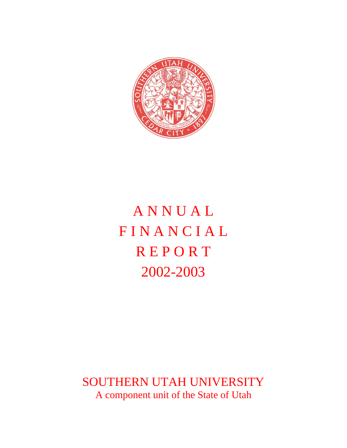

# A N N U A L **FINANCIAL REPORT** 2002-2003

SOUTHERN UTAH UNIVERSITY A component unit of the State of Utah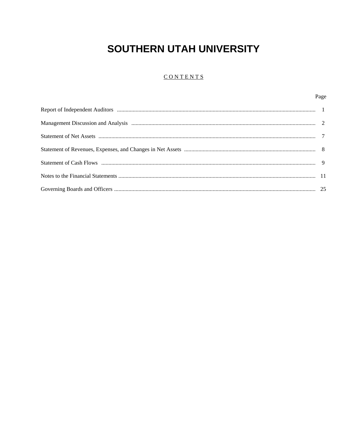#### CONTENTS

Page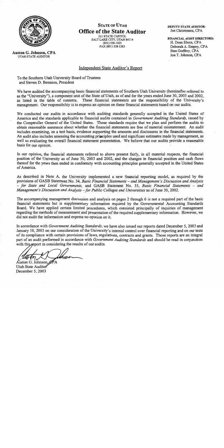

**Auston G. Johnson, CPA** UTAH STATE AUDITOR

**STATE OF UTAH Office of the State Auditor** 211 STATE CAPITOL

SALT LAKE CITY, UTAH 84114 (801) 538-1025 FAX (801) 538-1383

DEPUTY STATE AUDITOR: Joe Christensen, CPA

FINANCIAL AUDIT DIRECTORS: H. Dean Eborn, CPA Deborah A. Empey, CPA Stan Godfrey, CPA Jon T. Johnson, CPA

#### Independent State Auditor's Report

To the Southern Utah University Board of Trustees and Steven D. Bennion, President

We have audited the accompanying basic financial statements of Southern Utah University (hereinafter referred to as the "University"), a component unit of the State of Utah, as of and for the years ended June 30, 2003 and 2002, as listed in the table of contents. These financial statements are the responsibility of the University's management. Our responsibility is to express an opinion on these financial statements based on our audits.

We conducted our audits in accordance with auditing standards generally accepted in the United States of America and the standards applicable to financial audits contained in *Government Auditing Standards*, issued by the Comptroller General of the United States. Those standards require that we plan and perform the audits to obtain reasonable assurance about whether the financial statements are free of material misstatement. An audit includes examining, on a test basis, evidence supporting the amounts and disclosures in the financial statements. An audit also includes assessing the accounting principles used and significant estimates made by management, as well as evaluating the overall financial statement presentation. We believe that our audits provide a reasonable basis for our opinion.

In our opinion, the financial statements referred to above present fairly, in all material respects, the financial position of the University as of June 30, 2003 and 2002, and the changes in financial position and cash flows thereof for the years then ended in conformity with accounting principles generally accepted in the United States of America.

As described in Note A, the University implemented a new financial reporting model, as required by the provisions of GASB Statement No. 34, Basic Financial Statements – and Management's Discussion and Analysis - for State and Local Governments, and GASB Statement No. 35, Basic Financial Statements - and Management's Discussion and Analysis - for Public Colleges and Universities as of June 30, 2002.

The accompanying management discussion and analysis on pages 2 through 6 is not a required part of the basic financial statements but is supplementary information required by the Governmental Accounting Standards Board. We have applied certain limited procedures, which consisted principally of inquiries of management regarding the methods of measurement and presentation of the required supplementary information. However, we did not audit the information and express no opinion on it.

In accordance with *Government Auditing Standards*, we have also issued our reports dated December 5, 2003 and January 10, 2003 on our consideration of the University's internal control over financial reporting and on our tests of its compliance with certain provisions of laws, regulations, contracts and grants. Those reports are an integral part of an audit performed in accordance with Government Auditing Standards and should be read in conjunction with this report in considering the results of our audits.

Auston G. Johnson, PA Utah State Auditor December 5, 2003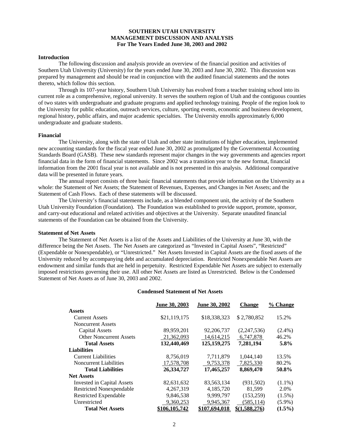#### **SOUTHERN UTAH UNIVERSITY MANAGEMENT DISCUSSION AND ANALYSIS For The Years Ended June 30, 2003 and 2002**

#### **Introduction**

 The following discussion and analysis provide an overview of the financial position and activities of Southern Utah University (University) for the years ended June 30, 2003 and June 30, 2002. This discussion was prepared by management and should be read in conjunction with the audited financial statements and the notes thereto, which follow this section.

 Through its 107-year history, Southern Utah University has evolved from a teacher training school into its current role as a comprehensive, regional university. It serves the southern region of Utah and the contiguous counties of two states with undergraduate and graduate programs and applied technology training. People of the region look to the University for public education, outreach services, culture, sporting events, economic and business development, regional history, public affairs, and major academic specialties. The University enrolls approximately 6,000 undergraduate and graduate students.

#### **Financial**

 The University, along with the state of Utah and other state institutions of higher education, implemented new accounting standards for the fiscal year ended June 30, 2002 as promulgated by the Governmental Accounting Standards Board (GASB). These new standards represent major changes in the way governments and agencies report financial data in the form of financial statements. Since 2002 was a transition year to the new format, financial information from the 2001 fiscal year is not available and is not presented in this analysis. Additional comparative data will be presented in future years.

 The annual report consists of three basic financial statements that provide information on the University as a whole: the Statement of Net Assets; the Statement of Revenues, Expenses, and Changes in Net Assets; and the Statement of Cash Flows. Each of these statements will be discussed.

 The University's financial statements include, as a blended component unit, the activity of the Southern Utah University Foundation (Foundation). The Foundation was established to provide support, promote, sponsor, and carry-out educational and related activities and objectives at the University. Separate unaudited financial statements of the Foundation can be obtained from the University.

#### **Statement of Net Assets**

The Statement of Net Assets is a list of the Assets and Liabilities of the University at June 30, with the difference being the Net Assets. The Net Assets are categorized as "Invested in Capital Assets", "Restricted" (Expendable or Nonexpendable), or "Unrestricted." Net Assets Invested in Capital Assets are the fixed assets of the University reduced by accompanying debt and accumulated depreciation. Restricted Nonexpendable Net Assets are endowment and similar funds that are held in perpetuity. Restricted Expendable Net Assets are subject to externally imposed restrictions governing their use. All other Net Assets are listed as Unrestricted.Below is the Condensed Statement of Net Assets as of June 30, 2003 and 2002.

#### **Condensed Statement of Net Assets**

|                                   | June 30, 2003 | June 30, 2002 | <b>Change</b> | % Change  |
|-----------------------------------|---------------|---------------|---------------|-----------|
| <b>Assets</b>                     |               |               |               |           |
| <b>Current Assets</b>             | \$21,119,175  | \$18,338,323  | \$2,780,852   | 15.2%     |
| <b>Noncurrent Assets</b>          |               |               |               |           |
| <b>Capital Assets</b>             | 89,959,201    | 92,206,737    | (2,247,536)   | $(2.4\%)$ |
| <b>Other Noncurrent Assets</b>    | 21,362,093    | 14,614,215    | 6,747,878     | 46.2%     |
| <b>Total Assets</b>               | 132,440,469   | 125, 159, 275 | 7,281,194     | 5.8%      |
| <b>Liabilities</b>                |               |               |               |           |
| <b>Current Liabilities</b>        | 8,756,019     | 7,711,879     | 1,044,140     | 13.5%     |
| <b>Noncurrent Liabilities</b>     | 17,578,708    | 9,753,378     | 7,825,330     | 80.2%     |
| <b>Total Liabilities</b>          | 26,334,727    | 17,465,257    | 8,869,470     | 50.8%     |
| <b>Net Assets</b>                 |               |               |               |           |
| <b>Invested in Capital Assets</b> | 82,631,632    | 83,563,134    | (931, 502)    | $(1.1\%)$ |
| <b>Restricted Nonexpendable</b>   | 4,267,319     | 4,185,720     | 81,599        | 2.0%      |
| <b>Restricted Expendable</b>      | 9,846,538     | 9,999,797     | (153, 259)    | $(1.5\%)$ |
| Unrestricted                      | 9,360,253     | 9,945,367     | (585, 114)    | $(5.9\%)$ |
| <b>Total Net Assets</b>           | \$106,105,742 | \$107.694.018 | \$(1.588.276) | $(1.5\%)$ |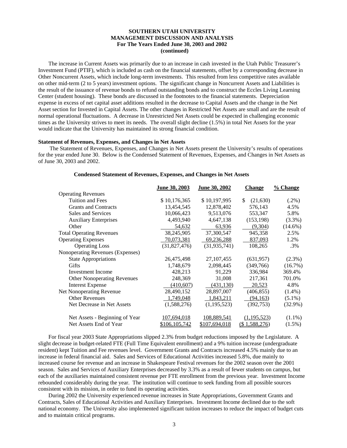#### **SOUTHERN UTAH UNIVERSITY MANAGEMENT DISCUSSION AND ANALYSIS For The Years Ended June 30, 2003 and 2002 (continued)**

 The increase in Current Assets was primarily due to an increase in cash invested in the Utah Public Treasurer's Investment Fund (PTIF), which is included as cash on the financial statements, offset by a corresponding decrease in Other Noncurrent Assets, which include long-term investments. This resulted from less competitive rates available on other mid-term (2 to 5 years) investment options. The significant change in Noncurrent Assets and Liabilities is the result of the issuance of revenue bonds to refund outstanding bonds and to construct the Eccles Living Learning Center (student housing). These bonds are discussed in the footnotes to the financial statements. Depreciation expense in excess of net capital asset additions resulted in the decrease to Capital Assets and the change in the Net Asset section for Invested in Capital Assets. The other changes in Restricted Net Assets are small and are the result of normal operational fluctuations. A decrease in Unrestricted Net Assets could be expected in challenging economic times as the University strives to meet its needs. The overall slight decline (1.5%) in total Net Assets for the year would indicate that the University has maintained its strong financial condition.

#### **Statement of Revenues, Expenses, and Changes in Net Assets**

 The Statement of Revenues, Expenses, and Changes in Net Assets present the University's results of operations for the year ended June 30. Below is the Condensed Statement of Revenues, Expenses, and Changes in Net Assets as of June 30, 2003 and 2002.

|                                    | June 30, 2003 | June 30, 2002  | <b>Change</b>   | $\frac{9}{6}$ Change |
|------------------------------------|---------------|----------------|-----------------|----------------------|
| <b>Operating Revenues</b>          |               |                |                 |                      |
| Tuition and Fees                   | \$10,176,365  | \$10,197,995   | (21,630)<br>\$. | $(.2\%)$             |
| <b>Grants and Contracts</b>        | 13,454,545    | 12,878,402     | 576,143         | 4.5%                 |
| Sales and Services                 | 10,066,423    | 9,513,076      | 553,347         | 5.8%                 |
| <b>Auxiliary Enterprises</b>       | 4,493,940     | 4,647,138      | (153, 198)      | $(3.3\%)$            |
| Other                              | 54,632        | 63,936         | (9,304)         | $(14.6\%)$           |
| <b>Total Operating Revenues</b>    | 38,245,905    | 37,300,547     | 945,358         | 2.5%                 |
| <b>Operating Expenses</b>          | 70,073,381    | 69,236,288     | 837,093         | 1.2%                 |
| <b>Operating Loss</b>              | (31,827,476)  | (31, 935, 741) | 108,265         | .3%                  |
| Nonoperating Revenues (Expenses)   |               |                |                 |                      |
| <b>State Appropriations</b>        | 26,475,498    | 27, 107, 455   | (631,957)       | $(2.3\%)$            |
| Gifts                              | 1,748,679     | 2,098,445      | (349,766)       | (16.7%)              |
| <b>Investment</b> Income           | 428,213       | 91,229         | 336,984         | 369.4%               |
| <b>Other Nonoperating Revenues</b> | 248,369       | 31,008         | 217,361         | 701.0%               |
| <b>Interest Expense</b>            | (410,607)     | (431, 130)     | 20,523          | 4.8%                 |
| Net Nonoperating Revenue           | 28,490,152    | 28,897,007     | (406, 855)      | $(1.4\%)$            |
| <b>Other Revenues</b>              | 1,749,048     | 1,843,211      | (94, 163)       | $(5.1\%)$            |
| Net Decrease in Net Assets         | (1,588,276)   | (1,195,523)    | (392, 753)      | $(32.9\%)$           |
| Net Assets - Beginning of Year     | 107,694,018   | 108,889,541    | (1,195,523)     | $(1.1\%)$            |
| Net Assets End of Year             | \$106,105,742 | \$107,694,018  | (\$1,588,276)   | $(1.5\%)$            |

#### **Condensed Statement of Revenues, Expenses, and Changes in Net Assets**

 For fiscal year 2003 State Appropriations slipped 2.3% from budget reductions imposed by the Legislature. A slight decrease in budget-related FTE (Full Time Equivalent enrollment) and a 9% tuition increase (undergraduate resident) kept Tuition and Fee revenues level. Government Grants and Contracts increased 4.5% mainly due to an increase in federal financial aid. Sales and Services of Educational Activities increased 5.8%, due mainly to increased course fee revenue and an increase in Shakespeare Festival revenues for the 2002 season over the 2001 season. Sales and Services of Auxiliary Enterprises decreased by 3.3% as a result of fewer students on campus, but each of the auxiliaries maintained consistent revenue per FTE enrollment from the previous year. Investment Income rebounded considerably during the year. The institution will continue to seek funding from all possible sources consistent with its mission, in order to fund its operating activities.

 During 2002 the University experienced revenue increases in State Appropriations, Government Grants and Contracts, Sales of Educational Activities and Auxiliary Enterprises. Investment Income declined due to the soft national economy. The University also implemented significant tuition increases to reduce the impact of budget cuts and to maintain critical programs.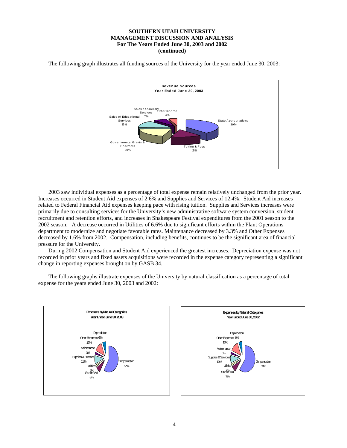#### **SOUTHERN UTAH UNIVERSITY MANAGEMENT DISCUSSION AND ANALYSIS For The Years Ended June 30, 2003 and 2002 (continued)**

The following graph illustrates all funding sources of the University for the year ended June 30, 2003:



 2003 saw individual expenses as a percentage of total expense remain relatively unchanged from the prior year. Increases occurred in Student Aid expenses of 2.6% and Supplies and Services of 12.4%. Student Aid increases related to Federal Financial Aid expenses keeping pace with rising tuition. Supplies and Services increases were primarily due to consulting services for the University's new administrative software system conversion, student recruitment and retention efforts, and increases in Shakespeare Festival expenditures from the 2001 season to the 2002 season. A decrease occurred in Utilities of 6.6% due to significant efforts within the Plant Operations department to modernize and negotiate favorable rates. Maintenance decreased by 3.3% and Other Expenses decreased by 1.6% from 2002. Compensation, including benefits, continues to be the significant area of financial pressure for the University.

 During 2002 Compensation and Student Aid experienced the greatest increases. Depreciation expense was not recorded in prior years and fixed assets acquisitions were recorded in the expense category representing a significant change in reporting expenses brought on by GASB 34.

 The following graphs illustrate expenses of the University by natural classification as a percentage of total expense for the years ended June 30, 2003 and 2002:



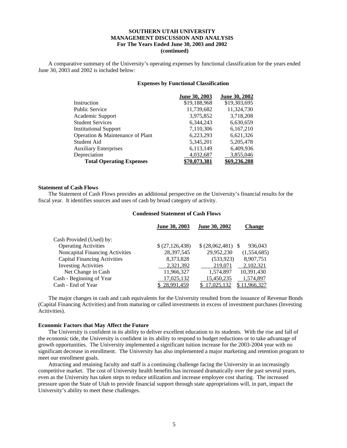#### **SOUTHERN UTAH UNIVERSITY MANAGEMENT DISCUSSION AND ANALYSIS For The Years Ended June 30, 2003 and 2002 (continued)**

 A comparative summary of the University's operating expenses by functional classification for the years ended June 30, 2003 and 2002 is included below:

#### **Expenses by Functional Classification**

|                                  | June 30, 2003 | June 30, 2002       |
|----------------------------------|---------------|---------------------|
| Instruction                      | \$19,188,968  | \$19,303,695        |
| <b>Public Service</b>            | 11,739,682    | 11,324,730          |
| Academic Support                 | 3,975,852     | 3,718,208           |
| <b>Student Services</b>          | 6,344,243     | 6,630,659           |
| <b>Institutional Support</b>     | 7,110,306     | 6,167,210           |
| Operation & Maintenance of Plant | 6,223,293     | 6,621,326           |
| Student Aid                      | 5,345,201     | 5,205,478           |
| <b>Auxiliary Enterprises</b>     | 6,113,149     | 6,409,936           |
| Depreciation                     | 4,032,687     | 3,855,046           |
| <b>Total Operating Expenses</b>  | 70.073.381    | <u>\$69.236.288</u> |

#### **Statement of Cash Flows**

 The Statement of Cash Flows provides an additional perspective on the University's financial results for the fiscal year. It identifies sources and uses of cash by broad category of activity.

#### **Condensed Statement of Cash Flows**

|                                     | <b>June 30, 2003</b> | June 30, 2002        | <b>Change</b> |
|-------------------------------------|----------------------|----------------------|---------------|
| Cash Provided (Used) by:            |                      |                      |               |
| <b>Operating Activities</b>         | \$(27,126,438)       | $$ (28,062,481)$ \\$ | 936,043       |
| Noncapital Financing Activities     | 28,397,545           | 29,952,230           | (1,554,685)   |
| <b>Capital Financing Activities</b> | 8,373,828            | (533, 923)           | 8,907,751     |
| <b>Investing Activities</b>         | 2,321,392            | 219,071              | 2,102,321     |
| Net Change in Cash                  | 11,966,327           | 1,574,897            | 10,391,430    |
| Cash - Beginning of Year            | 17,025,132           | 15,450,235           | 1,574,897     |
| Cash - End of Year                  | \$28,991,459         | 17,025,132           | 11,966,327    |

 The major changes in cash and cash equivalents for the University resulted from the issuance of Revenue Bonds (Capital Financing Activities) and from maturing or called investments in excess of investment purchases (Investing Acitivities).

#### **Economic Factors that May Affect the Future**

 The University is confident in its ability to deliver excellent education to its students. With the rise and fall of the economic tide, the University is confident in its ability to respond to budget reductions or to take advantage of growth opportunities. The University implemented a significant tuition increase for the 2003-2004 year with no significant decrease in enrollment. The University has also implemented a major marketing and retention program to meet our enrollment goals.

 Attracting and retaining faculty and staff is a continuing challenge facing the University in an increasingly competitive market. The cost of University health benefits has increased dramatically over the past several years, even as the University has taken steps to reduce utilization and increase employee cost sharing. The increased pressure upon the State of Utah to provide financial support through state appropriations will, in part, impact the University's ability to meet these challenges.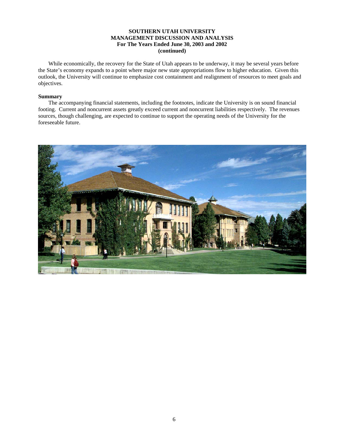#### **SOUTHERN UTAH UNIVERSITY MANAGEMENT DISCUSSION AND ANALYSIS For The Years Ended June 30, 2003 and 2002 (continued)**

 While economically, the recovery for the State of Utah appears to be underway, it may be several years before the State's economy expands to a point where major new state appropriations flow to higher education. Given this outlook, the University will continue to emphasize cost containment and realignment of resources to meet goals and objectives.

#### **Summary**

 The accompanying financial statements, including the footnotes, indicate the University is on sound financial footing. Current and noncurrent assets greatly exceed current and noncurrent liabilities respectively. The revenues sources, though challenging, are expected to continue to support the operating needs of the University for the foreseeable future.

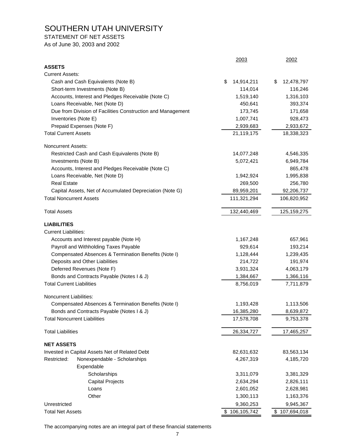STATEMENT OF NET ASSETS

As of June 30, 2003 and 2002

|                                                             | 2003             | 2002             |
|-------------------------------------------------------------|------------------|------------------|
| <b>ASSETS</b>                                               |                  |                  |
| <b>Current Assets:</b>                                      |                  |                  |
| Cash and Cash Equivalents (Note B)                          | \$<br>14,914,211 | \$<br>12,478,797 |
| Short-term Investments (Note B)                             | 114,014          | 116,246          |
| Accounts, Interest and Pledges Receivable (Note C)          | 1,519,140        | 1,316,103        |
| Loans Receivable, Net (Note D)                              | 450,641          | 393,374          |
| Due from Division of Facilities Construction and Management | 173,745          | 171,658          |
| Inventories (Note E)                                        | 1,007,741        | 928,473          |
| Prepaid Expenses (Note F)                                   | 2,939,683        | 2,933,672        |
| <b>Total Current Assets</b>                                 | 21,119,175       | 18,338,323       |
| <b>Noncurrent Assets:</b>                                   |                  |                  |
| Restricted Cash and Cash Equivalents (Note B)               | 14,077,248       | 4,546,335        |
| Investments (Note B)                                        | 5,072,421        | 6,949,784        |
| Accounts, Interest and Pledges Receivable (Note C)          |                  | 865,478          |
| Loans Receivable, Net (Note D)                              | 1,942,924        | 1,995,838        |
| <b>Real Estate</b>                                          | 269,500          | 256,780          |
| Capital Assets, Net of Accumulated Depreciation (Note G)    | 89,959,201       | 92,206,737       |
| <b>Total Noncurrent Assets</b>                              | 111,321,294      | 106,820,952      |
| <b>Total Assets</b>                                         | 132,440,469      | 125, 159, 275    |
| <b>LIABILITIES</b>                                          |                  |                  |
| <b>Current Liabilities:</b>                                 |                  |                  |
| Accounts and Interest payable (Note H)                      | 1,167,248        | 657,961          |
| Payroll and Withholding Taxes Payable                       | 929,614          | 193,214          |
| Compensated Absences & Termination Benefits (Note I)        | 1,128,444        | 1,239,435        |
| Deposits and Other Liabilities                              | 214,722          | 191,974          |
| Deferred Revenues (Note F)                                  | 3,931,324        | 4,063,179        |
| Bonds and Contracts Payable (Notes I & J)                   | 1,384,667        | 1,366,116        |
| <b>Total Current Liabilities</b>                            | 8,756,019        | 7,711,879        |
| Noncurrent Liabilities:                                     |                  |                  |
| Compensated Absences & Termination Benefits (Note I)        | 1,193,428        | 1,113,506        |
| Bonds and Contracts Payable (Notes I & J)                   | 16,385,280       | 8,639,872        |
| <b>Total Noncurrent Liabilities</b>                         | 17,578,708       | 9,753,378        |
| <b>Total Liabilities</b>                                    | 26,334,727       | 17,465,257       |
| <b>NET ASSETS</b>                                           |                  |                  |
| Invested in Capital Assets Net of Related Debt              | 82,631,632       | 83,563,134       |
| Restricted:<br>Nonexpendable - Scholarships<br>Expendable   | 4,267,319        | 4,185,720        |
| Scholarships                                                | 3,311,079        | 3,381,329        |
| <b>Capital Projects</b>                                     | 2,634,294        | 2,826,111        |
| Loans                                                       | 2,601,052        | 2,628,981        |
| Other                                                       | 1,300,113        | 1,163,376        |
| Unrestricted                                                | 9,360,253        | 9,945,367        |
| <b>Total Net Assets</b>                                     | \$106,105,742    | \$107,694,018    |
|                                                             |                  |                  |

The accompanying notes are an integral part of these financial statements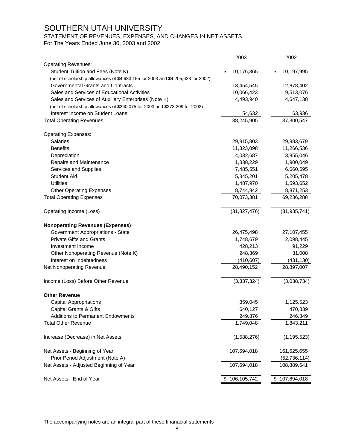## STATEMENT OF REVENUES, EXPENSES, AND CHANGES IN NET ASSETS

For The Years Ended June 30, 2003 and 2002

|                                                                                  | 2003             | 2002              |
|----------------------------------------------------------------------------------|------------------|-------------------|
| <b>Operating Revenues:</b>                                                       |                  |                   |
| Student Tuition and Fees (Note K)                                                | \$<br>10,176,365 | \$<br>10,197,995  |
| (net of scholarship allowances of \$4,633,155 for 2003 and \$4,205,633 for 2002) |                  |                   |
| Governmental Grants and Contracts                                                | 13,454,545       | 12,878,402        |
| Sales and Services of Educational Activities                                     | 10,066,423       | 9,513,076         |
| Sales and Services of Auxiliary Enterprises (Note K)                             | 4,493,940        | 4,647,138         |
| (net of scholarship allowances of \$260,075 for 2003 and \$273,209 for 2002)     |                  |                   |
| Interest Income on Student Loans                                                 | 54,632           | 63,936            |
| <b>Total Operating Revenues</b>                                                  | 38,245,905       | 37,300,547        |
| <b>Operating Expenses:</b>                                                       |                  |                   |
| <b>Salaries</b>                                                                  | 29,815,803       | 29,883,679        |
| <b>Benefits</b>                                                                  | 11,323,098       | 11,266,536        |
| Depreciation                                                                     | 4,032,687        | 3,855,046         |
| Repairs and Maintenance                                                          | 1,838,229        | 1,900,049         |
| Services and Supplies                                                            | 7,485,551        | 6,660,595         |
| <b>Student Aid</b>                                                               | 5,345,201        | 5,205,478         |
| <b>Utilities</b>                                                                 | 1,487,970        | 1,593,652         |
| <b>Other Operating Expenses</b>                                                  | 8,744,842        | 8,871,253         |
| <b>Total Operating Expenses</b>                                                  | 70,073,381       | 69,236,288        |
| Operating Income (Loss)                                                          | (31, 827, 476)   | (31, 935, 741)    |
| <b>Nonoperating Revenues (Expenses)</b>                                          |                  |                   |
| <b>Government Appropriations - State</b>                                         | 26,475,498       | 27,107,455        |
| <b>Private Gifts and Grants</b>                                                  | 1,748,679        | 2,098,445         |
| Investment Income                                                                | 428,213          | 91,229            |
| Other Nonoperating Revenue (Note K)                                              | 248,369          | 31,008            |
| Interest on Indebtedness                                                         | (410, 607)       | (431, 130)        |
| Net Nonoperating Revenue                                                         | 28,490,152       | 28,897,007        |
| Income (Loss) Before Other Revenue                                               | (3,337,324)      | (3,038,734)       |
| <b>Other Revenue</b>                                                             |                  |                   |
| <b>Capital Appropriations</b>                                                    | 859,045          | 1,125,523         |
| <b>Capital Grants &amp; Gifts</b>                                                | 640,127          | 470,839           |
| Additions to Permanent Endowments                                                | 249,876          | 246,849           |
| <b>Total Other Revenue</b>                                                       | 1,749,048        | 1,843,211         |
| Increase (Decrease) in Net Assets                                                | (1,588,276)      | (1, 195, 523)     |
| Net Assets - Beginning of Year                                                   | 107,694,018      | 161,625,655       |
| Prior Period Adjustment (Note A)                                                 |                  | (52, 736, 114)    |
| Net Assets - Adjusted Beginning of Year                                          | 107,694,018      | 108,889,541       |
| Net Assets - End of Year                                                         | \$106,105,742    | \$<br>107,694,018 |
|                                                                                  |                  |                   |

The accompanying notes are an integral part of these finanacial statements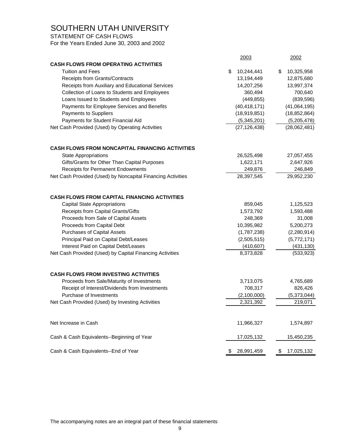STATEMENT OF CASH FLOWS

For the Years Ended June 30, 2003 and 2002

|                                                             | 2003             | 2002             |
|-------------------------------------------------------------|------------------|------------------|
| <b>CASH FLOWS FROM OPERATING ACTIVITIES</b>                 |                  |                  |
| <b>Tuition and Fees</b>                                     | \$<br>10,244,441 | \$<br>10,325,958 |
| Receipts from Grants/Contracts                              | 13,194,449       | 12,875,680       |
| Receipts from Auxiliary and Educational Services            | 14,207,256       | 13,997,374       |
| Collection of Loans to Students and Employees               | 360,494          | 700,640          |
| Loans Issued to Students and Employees                      | (449, 855)       | (839, 596)       |
| Payments for Employee Services and Benefits                 | (40, 418, 171)   | (41,064,195)     |
| Payments to Suppliers                                       | (18,919,851)     | (18, 852, 864)   |
| Payments for Student Financial Aid                          | (5,345,201)      | (5,205,478)      |
| Net Cash Provided (Used) by Operating Activities            | (27, 126, 438)   | (28,062,481)     |
| <b>CASH FLOWS FROM NONCAPITAL FINANCING ACTIVITIES</b>      |                  |                  |
| <b>State Appropriations</b>                                 | 26,525,498       | 27,057,455       |
| Gifts/Grants for Other Than Capital Purposes                | 1,622,171        | 2,647,926        |
| Receipts for Permanent Endowments                           | 249,876          | 246,849          |
| Net Cash Provided (Used) by Noncapital Financing Activities | 28,397,545       | 29,952,230       |
| <b>CASH FLOWS FROM CAPITAL FINANCING ACTIVITIES</b>         |                  |                  |
| <b>Capital State Appropriations</b>                         | 859,045          | 1,125,523        |
| Receipts from Capital Grants/Gifts                          | 1,573,792        | 1,593,488        |
| Proceeds from Sale of Capital Assets                        | 248,369          | 31,008           |
| Proceeds from Capital Debt                                  | 10,395,982       | 5,200,273        |
| <b>Purchases of Capital Assets</b>                          | (1,787,238)      | (2,280,914)      |
| Principal Paid on Capital Debt/Leases                       | (2,505,515)      | (5,772,171)      |
| Interest Paid on Capital Debt/Leases                        | (410, 607)       | (431, 130)       |
| Net Cash Provided (Used) by Capital Financing Activities    | 8,373,828        | (533, 923)       |
| <b>CASH FLOWS FROM INVESTING ACTIVITIES</b>                 |                  |                  |
| Proceeds from Sale/Maturity of Investments                  | 3,713,075        | 4,765,689        |
| Receipt of Interest/Dividends from Investments              | 708,317          | 826,426          |
| Purchase of Investments                                     | (2,100,000)      | (5,373,044)      |
| Net Cash Provided (Used) by Investing Activities            | 2,321,392        | 219,071          |
|                                                             |                  |                  |
| Net Increase in Cash                                        | 11,966,327       | 1,574,897        |
| Cash & Cash Equivalents--Beginning of Year                  | 17,025,132       | 15,450,235       |
| Cash & Cash Equivalents--End of Year                        | 28,991,459       | 17,025,132       |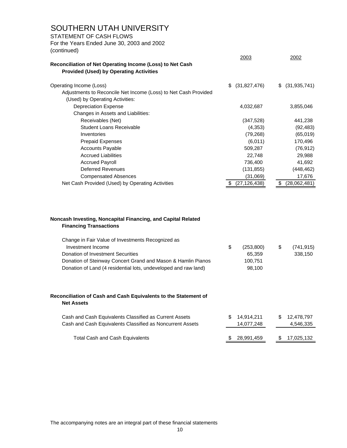### STATEMENT OF CASH FLOWS

For the Years Ended June 30, 2003 and 2002 (continued)

| Reconciliation of Net Operating Income (Loss) to Net Cash                                          |    | 2003           | 2002                 |
|----------------------------------------------------------------------------------------------------|----|----------------|----------------------|
| <b>Provided (Used) by Operating Activities</b>                                                     |    |                |                      |
| Operating Income (Loss)                                                                            | S. | (31,827,476)   | \$<br>(31, 935, 741) |
| Adjustments to Reconcile Net Income (Loss) to Net Cash Provided<br>(Used) by Operating Activities: |    |                |                      |
| <b>Depreciation Expense</b>                                                                        |    | 4,032,687      | 3,855,046            |
| Changes in Assets and Liabilities:                                                                 |    |                |                      |
| Receivables (Net)                                                                                  |    | (347, 528)     | 441,238              |
| <b>Student Loans Receivable</b>                                                                    |    | (4, 353)       | (92, 483)            |
| Inventories                                                                                        |    | (79, 268)      | (65, 019)            |
| <b>Prepaid Expenses</b>                                                                            |    | (6,011)        | 170,496              |
| <b>Accounts Payable</b>                                                                            |    | 509,287        | (76, 912)            |
| <b>Accrued Liabilities</b>                                                                         |    | 22,748         | 29,988               |
| <b>Accrued Payroll</b>                                                                             |    | 736,400        | 41,692               |
| <b>Deferred Revenues</b>                                                                           |    | (131, 855)     | (448, 462)           |
| <b>Compensated Absences</b>                                                                        |    | (31,069)       | 17,676               |
| Net Cash Provided (Used) by Operating Activities                                                   |    | (27, 126, 438) | \$<br>(28,062,481)   |
|                                                                                                    |    |                |                      |
| Noncash Investing, Noncapital Financing, and Capital Related<br><b>Financing Transactions</b>      |    |                |                      |
| Change in Fair Value of Investments Recognized as                                                  |    |                |                      |
| Investment Income                                                                                  | \$ | (253, 800)     | \$<br>(741, 915)     |
| <b>Donation of Investment Securities</b>                                                           |    | 65,359         | 338,150              |
| Donation of Steinway Concert Grand and Mason & Hamlin Pianos                                       |    | 100,751        |                      |
| Donation of Land (4 residential lots, undeveloped and raw land)                                    |    | 98,100         |                      |

#### **Reconciliation of Cash and Cash Equivalents to the Statement of Net Assets**

| Cash and Cash Equivalents Classified as Current Assets<br>Cash and Cash Equivalents Classified as Noncurrent Assets | \$ 14.914.211<br>14,077,248 | SS. | 12.478.797<br>4,546,335 |
|---------------------------------------------------------------------------------------------------------------------|-----------------------------|-----|-------------------------|
| Total Cash and Cash Equivalents                                                                                     | \$ 28.991.459               |     | \$ 17.025.132           |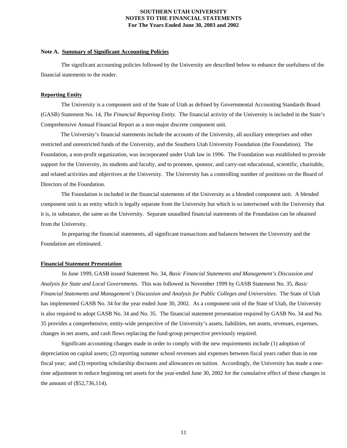#### **Note A. Summary of Significant Accounting Policies**

 The significant accounting policies followed by the University are described below to enhance the usefulness of the financial statements to the reader.

#### **Reporting Entity**

 The University is a component unit of the State of Utah as defined by Governmental Accounting Standards Board (GASB) Statement No. 14, *The Financial Reporting Entity.* The financial activity of the University is included in the State's Comprehensive Annual Financial Report as a non-major discrete component unit.

 The University's financial statements include the accounts of the University, all auxiliary enterprises and other restricted and unrestricted funds of the University, and the Southern Utah University Foundation (the Foundation). The Foundation, a non-profit organization, was incorporated under Utah law in 1996. The Foundation was established to provide support for the University, its students and faculty, and to promote, sponsor, and carry-out educational, scientific, charitable, and related activities and objectives at the University. The University has a controlling number of positions on the Board of Directors of the Foundation.

 The Foundation is included in the financial statements of the University as a blended component unit. A blended component unit is an entity which is legally separate from the University but which is so intertwined with the University that it is, in substance, the same as the University. Separate unaudited financial statements of the Foundation can be obtained from the University.

 In preparing the financial statements, all significant transactions and balances between the University and the Foundation are eliminated.

#### **Financial Statement Presentation**

 In June 1999, GASB issued Statement No. 34, *Basic Financial Statements and Management's Discussion and Analysis for State and Local Governments*. This was followed in November 1999 by GASB Statement No. 35, *Basic Financial Statements and Management's Discussion and Analysis for Public Colleges and Universities*. The State of Utah has implemented GASB No. 34 for the year ended June 30, 2002. As a component unit of the State of Utah, the University is also required to adopt GASB No. 34 and No. 35. The financial statement presentation required by GASB No. 34 and No. 35 provides a comprehensive, entity-wide perspective of the University's assets, liabilities, net assets, revenues, expenses, changes in net assets, and cash flows replacing the fund-group perspective previously required.

 Significant accounting changes made in order to comply with the new requirements include (1) adoption of depreciation on capital assets; (2) reporting summer school revenues and expenses between fiscal years rather than in one fiscal year; and (3) reporting scholarship discounts and allowances on tuition. Accordingly, the University has made a onetime adjustment to reduce beginning net assets for the year-ended June 30, 2002 for the cumulative effect of these changes in the amount of (\$52,736,114).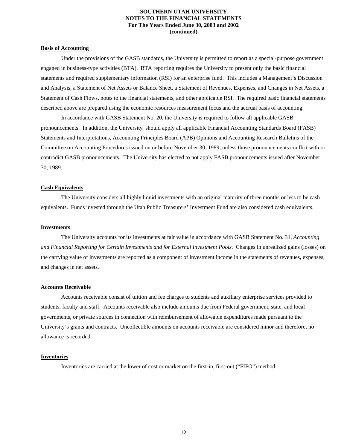#### **Basis of Accounting**

 Under the provisions of the GASB standards, the University is permitted to report as a special-purpose government engaged in business-type activities (BTA). BTA reporting requires the University to present only the basic financial statements and required supplementary information (RSI) for an enterprise fund. This includes a Management's Discussion and Analysis, a Statement of Net Assets or Balance Sheet, a Statement of Revenues, Expenses, and Changes in Net Assets, a Statement of Cash Flows, notes to the financial statements, and other applicable RSI. The required basic financial statements described above are prepared using the economic resources measurement focus and the accrual basis of accounting.

 In accordance with GASB Statement No. 20, the University is required to follow all applicable GASB pronouncements. In addition, the University should apply all applicable Financial Accounting Standards Board (FASB) Statements and Interpretations, Accounting Principles Board (APB) Opinions and Accounting Research Bulletins of the Committee on Accounting Procedures issued on or before November 30, 1989, unless those pronouncements conflict with or contradict GASB pronouncements. The University has elected to not apply FASB pronouncements issued after November 30, 1989.

#### **Cash Equivalents**

 The University considers all highly liquid investments with an original maturity of three months or less to be cash equivalents. Funds invested through the Utah Public Treasurers' Investment Fund are also considered cash equivalents.

#### **Investments**

 The University accounts for its investments at fair value in accordance with GASB Statement No. 31, *Accounting and Financial Reporting for Certain Investments and for External Investment Pools*. Changes in unrealized gains (losses) on the carrying value of investments are reported as a component of investment income in the statements of revenues, expenses, and changes in net assets.

#### **Accounts Receivable**

 Accounts receivable consist of tuition and fee charges to students and auxiliary enterprise services provided to students, faculty and staff. Accounts receivable also include amounts due from Federal government, state, and local governments, or private sources in connection with reimbursement of allowable expenditures made pursuant to the University's grants and contracts. Uncollectible amounts on accounts receivable are considered minor and therefore, no allowance is recorded.

#### **Inventories**

Inventories are carried at the lower of cost or market on the first-in, first-out ("FIFO") method.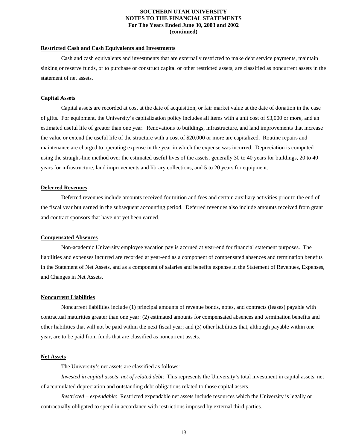#### **Restricted Cash and Cash Equivalents and Investments**

 Cash and cash equivalents and investments that are externally restricted to make debt service payments, maintain sinking or reserve funds, or to purchase or construct capital or other restricted assets, are classified as noncurrent assets in the statement of net assets.

#### **Capital Assets**

 Capital assets are recorded at cost at the date of acquisition, or fair market value at the date of donation in the case of gifts. For equipment, the University's capitalization policy includes all items with a unit cost of \$3,000 or more, and an estimated useful life of greater than one year. Renovations to buildings, infrastructure, and land improvements that increase the value or extend the useful life of the structure with a cost of \$20,000 or more are capitalized. Routine repairs and maintenance are charged to operating expense in the year in which the expense was incurred. Depreciation is computed using the straight-line method over the estimated useful lives of the assets, generally 30 to 40 years for buildings, 20 to 40 years for infrastructure, land improvements and library collections, and 5 to 20 years for equipment.

#### **Deferred Revenues**

 Deferred revenues include amounts received for tuition and fees and certain auxiliary activities prior to the end of the fiscal year but earned in the subsequent accounting period. Deferred revenues also include amounts received from grant and contract sponsors that have not yet been earned.

#### **Compensated Absences**

 Non-academic University employee vacation pay is accrued at year-end for financial statement purposes. The liabilities and expenses incurred are recorded at year-end as a component of compensated absences and termination benefits in the Statement of Net Assets, and as a component of salaries and benefits expense in the Statement of Revenues, Expenses, and Changes in Net Assets.

#### **Noncurrent Liabilities**

 Noncurrent liabilities include (1) principal amounts of revenue bonds, notes, and contracts (leases) payable with contractual maturities greater than one year: (2) estimated amounts for compensated absences and termination benefits and other liabilities that will not be paid within the next fiscal year; and (3) other liabilities that, although payable within one year, are to be paid from funds that are classified as noncurrent assets.

#### **Net Assets**

The University's net assets are classified as follows:

 *Invested in capital assets, net of related debt*: This represents the University's total investment in capital assets, net of accumulated depreciation and outstanding debt obligations related to those capital assets.

 *Restricted – expendable*: Restricted expendable net assets include resources which the University is legally or contractually obligated to spend in accordance with restrictions imposed by external third parties.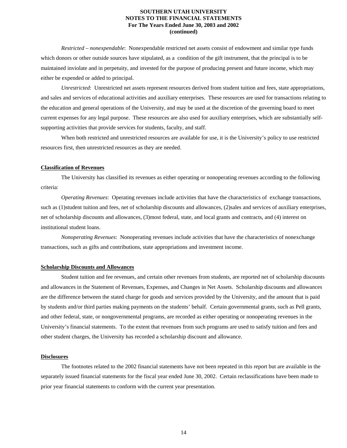*Restricted – nonexpendable*: Nonexpendable restricted net assets consist of endowment and similar type funds which donors or other outside sources have stipulated, as a condition of the gift instrument, that the principal is to be maintained inviolate and in perpetuity, and invested for the purpose of producing present and future income, which may either be expended or added to principal.

 *Unrestricted*: Unrestricted net assets represent resources derived from student tuition and fees, state appropriations, and sales and services of educational activities and auxiliary enterprises. These resources are used for transactions relating to the education and general operations of the University, and may be used at the discretion of the governing board to meet current expenses for any legal purpose. These resources are also used for auxiliary enterprises, which are substantially selfsupporting activities that provide services for students, faculty, and staff.

 When both restricted and unrestricted resources are available for use, it is the University's policy to use restricted resources first, then unrestricted resources as they are needed.

#### **Classification of Revenues**

 The University has classified its revenues as either operating or nonoperating revenues according to the following criteria:

 *Operating Revenues*: Operating revenues include activities that have the characteristics of exchange transactions, such as (1)student tuition and fees, net of scholarship discounts and allowances, (2)sales and services of auxiliary enterprises, net of scholarship discounts and allowances, (3)most federal, state, and local grants and contracts, and (4) interest on institutional student loans.

 *Nonoperating Revenues*: Nonoperating revenues include activities that have the characteristics of nonexchange transactions, such as gifts and contributions, state appropriations and investment income.

#### **Scholarship Discounts and Allowances**

 Student tuition and fee revenues, and certain other revenues from students, are reported net of scholarship discounts and allowances in the Statement of Revenues, Expenses, and Changes in Net Assets. Scholarship discounts and allowances are the difference between the stated charge for goods and services provided by the University, and the amount that is paid by students and/or third parties making payments on the students' behalf. Certain governmental grants, such as Pell grants, and other federal, state, or nongovernmental programs, are recorded as either operating or nonoperating revenues in the University's financial statements. To the extent that revenues from such programs are used to satisfy tuition and fees and other student charges, the University has recorded a scholarship discount and allowance.

#### **Disclosures**

 The footnotes related to the 2002 financial statements have not been repeated in this report but are available in the separately issued financial statements for the fiscal year ended June 30, 2002. Certain reclassifications have been made to prior year financial statements to conform with the current year presentation.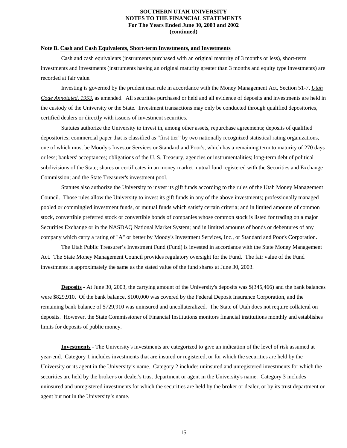#### **Note B. Cash and Cash Equivalents, Short-term Investments, and Investments**

 Cash and cash equivalents (instruments purchased with an original maturity of 3 months or less), short-term investments and investments (instruments having an original maturity greater than 3 months and equity type investments) are recorded at fair value.

 Investing is governed by the prudent man rule in accordance with the Money Management Act, Section 51-7, *Utah Code Annotated, 1953*, as amended. All securities purchased or held and all evidence of deposits and investments are held in the custody of the University or the State. Investment transactions may only be conducted through qualified depositories, certified dealers or directly with issuers of investment securities.

 Statutes authorize the University to invest in, among other assets, repurchase agreements; deposits of qualified depositories; commercial paper that is classified as "first tier" by two nationally recognized statistical rating organizations, one of which must be Moody's Investor Services or Standard and Poor's, which has a remaining term to maturity of 270 days or less; bankers' acceptances; obligations of the U. S. Treasury, agencies or instrumentalities; long-term debt of political subdivisions of the State; shares or certificates in an money market mutual fund registered with the Securities and Exchange Commission; and the State Treasurer's investment pool.

 Statutes also authorize the University to invest its gift funds according to the rules of the Utah Money Management Council. Those rules allow the University to invest its gift funds in any of the above investments; professionally managed pooled or commingled investment funds, or mutual funds which satisfy certain criteria; and in limited amounts of common stock, convertible preferred stock or convertible bonds of companies whose common stock is listed for trading on a major Securities Exchange or in the NASDAQ National Market System; and in limited amounts of bonds or debentures of any company which carry a rating of "A" or better by Moody's Investment Services, Inc., or Standard and Poor's Corporation.

 The Utah Public Treasurer's Investment Fund (Fund) is invested in accordance with the State Money Management Act. The State Money Management Council provides regulatory oversight for the Fund. The fair value of the Fund investments is approximately the same as the stated value of the fund shares at June 30, 2003.

 **Deposits** - At June 30, 2003, the carrying amount of the University's deposits was \$(345,466) and the bank balances were \$829,910. Of the bank balance, \$100,000 was covered by the Federal Deposit Insurance Corporation, and the remaining bank balance of \$729,910 was uninsured and uncollateralized. The State of Utah does not require collateral on deposits. However, the State Commissioner of Financial Institutions monitors financial institutions monthly and establishes limits for deposits of public money.

 **Investments** - The University's investments are categorized to give an indication of the level of risk assumed at year-end. Category 1 includes investments that are insured or registered, or for which the securities are held by the University or its agent in the University's name. Category 2 includes uninsured and unregistered investments for which the securities are held by the broker's or dealer's trust department or agent in the University's name. Category 3 includes uninsured and unregistered investments for which the securities are held by the broker or dealer, or by its trust department or agent but not in the University's name.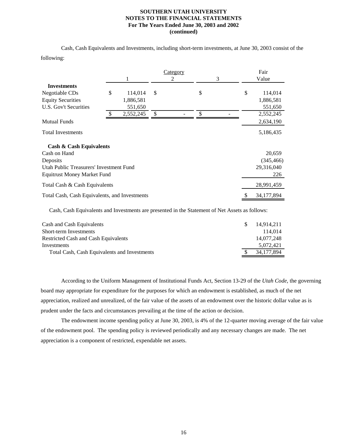Cash, Cash Equivalents and Investments, including short-term investments, at June 30, 2003 consist of the following:

|                                               |               | Category      |    | Fair             |
|-----------------------------------------------|---------------|---------------|----|------------------|
|                                               |               | 2             | 3  | Value            |
| <b>Investments</b>                            |               |               |    |                  |
| Negotiable CDs                                | \$<br>114,014 | <sup>\$</sup> | \$ | \$<br>114,014    |
| <b>Equity Securities</b>                      | 1,886,581     |               |    | 1,886,581        |
| U.S. Gov't Securities                         | 551,650       |               |    | 551,650          |
|                                               | 2,552,245     | \$            | \$ | 2,552,245        |
| <b>Mutual Funds</b>                           |               |               |    | 2,634,190        |
| <b>Total Investments</b>                      |               |               |    | 5,186,435        |
| <b>Cash &amp; Cash Equivalents</b>            |               |               |    |                  |
| Cash on Hand                                  |               |               |    | 20,659           |
| Deposits                                      |               |               |    | (345, 466)       |
| Utah Public Treasurers' Investment Fund       |               |               |    | 29,316,040       |
| <b>Equitrust Money Market Fund</b>            |               |               |    | 226              |
| Total Cash & Cash Equivalents                 |               |               |    | 28,991,459       |
| Total Cash, Cash Equivalents, and Investments |               |               |    | \$<br>34,177,894 |

Cash, Cash Equivalents and Investments are presented in the Statement of Net Assets as follows:

| Cash and Cash Equivalents                    | 14.914.211 |
|----------------------------------------------|------------|
| Short-term Investments                       | 114.014    |
| Restricted Cash and Cash Equivalents         | 14.077.248 |
| Investments                                  | 5.072.421  |
| Total Cash, Cash Equivalents and Investments | 34,177,894 |
|                                              |            |

 According to the Uniform Management of Institutional Funds Act, Section 13-29 of the *Utah Code*, the governing board may appropriate for expenditure for the purposes for which an endowment is established, as much of the net appreciation, realized and unrealized, of the fair value of the assets of an endowment over the historic dollar value as is prudent under the facts and circumstances prevailing at the time of the action or decision.

 The endowment income spending policy at June 30, 2003, is 4% of the 12-quarter moving average of the fair value of the endowment pool. The spending policy is reviewed periodically and any necessary changes are made. The net appreciation is a component of restricted, expendable net assets.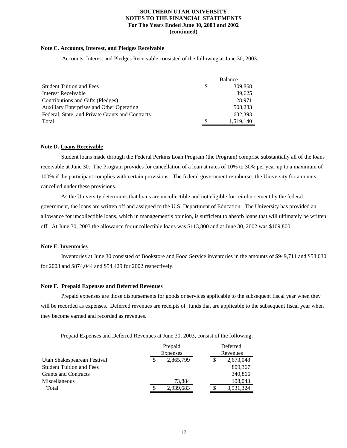#### **Note C. Accounts, Interest, and Pledges Receivable**

Accounts, Interest and Pledges Receivable consisted of the following at June 30, 2003:

|                                                  | Balance   |
|--------------------------------------------------|-----------|
| <b>Student Tuition and Fees</b>                  | 309,868   |
| Interest Receivable                              | 39.625    |
| Contributions and Gifts (Pledges)                | 28,971    |
| <b>Auxiliary Enterprises and Other Operating</b> | 508.283   |
| Federal, State, and Private Grants and Contracts | 632.393   |
| Total                                            | 1.519.140 |

#### **Note D. Loans Receivable**

 Student loans made through the Federal Perkins Loan Program (the Program) comprise substantially all of the loans receivable at June 30. The Program provides for cancellation of a loan at rates of 10% to 30% per year up to a maximum of 100% if the participant complies with certain provisions. The federal government reimburses the University for amounts cancelled under these provisions.

 As the University determines that loans are uncollectible and not eligible for reimbursement by the federal government, the loans are written off and assigned to the U.S. Department of Education. The University has provided an allowance for uncollectible loans, which in management's opinion, is sufficient to absorb loans that will ultimately be written off. At June 30, 2003 the allowance for uncollectible loans was \$113,800 and at June 30, 2002 was \$109,800.

#### **Note E. Inventories**

 Inventories at June 30 consisted of Bookstore and Food Service inventories in the amounts of \$949,711 and \$58,030 for 2003 and \$874,044 and \$54,429 for 2002 respectively.

#### **Note F. Prepaid Expenses and Deferred Revenues**

 Prepaid expenses are those disbursements for goods or services applicable to the subsequent fiscal year when they will be recorded as expenses. Deferred revenues are receipts of funds that are applicable to the subsequent fiscal year when they become earned and recorded as revenues.

Prepaid Expenses and Deferred Revenues at June 30, 2003, consist of the following:

|                                 | Prepaid         |  | Deferred  |
|---------------------------------|-----------------|--|-----------|
|                                 | <b>Expenses</b> |  | Revenues  |
| Utah Shakespearean Festival     | 2,865,799       |  | 2,673,048 |
| <b>Student Tuition and Fees</b> |                 |  | 809,367   |
| <b>Grants and Contracts</b>     |                 |  | 340,866   |
| Miscellaneous                   | 73,884          |  | 108,043   |
| Total                           | 2.939.683       |  | 3.931.324 |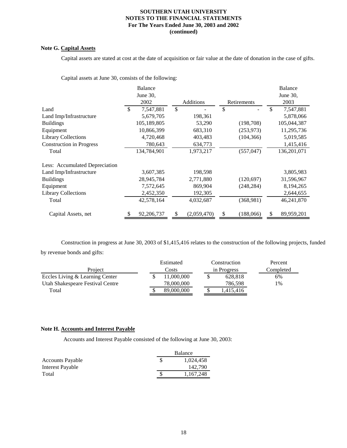#### **Note G. Capital Assets**

Capital assets are stated at cost at the date of acquisition or fair value at the date of donation in the case of gifts.

Capital assets at June 30, consists of the following:

|                                 | <b>Balance</b>   |               |             |    |             | <b>Balance</b>   |
|---------------------------------|------------------|---------------|-------------|----|-------------|------------------|
|                                 | June $30$ .      |               |             |    |             | June 30,         |
|                                 | 2002             |               | Additions   |    | Retirements | 2003             |
| Land                            | \$<br>7,547,881  | $\mathcal{S}$ |             | \$ |             | \$<br>7,547,881  |
| Land Imp/Infrastructure         | 5,679,705        |               | 198,361     |    |             | 5,878,066        |
| <b>Buildings</b>                | 105,189,805      |               | 53,290      |    | (198, 708)  | 105,044,387      |
| Equipment                       | 10,866,399       |               | 683,310     |    | (253, 973)  | 11,295,736       |
| <b>Library Collections</b>      | 4,720,468        |               | 403,483     |    | (104, 366)  | 5,019,585        |
| <b>Construction in Progress</b> | 780,643          |               | 634,773     |    |             | 1,415,416        |
| Total                           | 134,784,901      |               | 1,973,217   |    | (557, 047)  | 136,201,071      |
| Less: Accumulated Depreciation  |                  |               |             |    |             |                  |
| Land Imp/Infrastructure         | 3,607,385        |               | 198,598     |    |             | 3,805,983        |
| <b>Buildings</b>                | 28,945,784       |               | 2,771,880   |    | (120, 697)  | 31,596,967       |
| Equipment                       | 7,572,645        |               | 869,904     |    | (248, 284)  | 8,194,265        |
| <b>Library Collections</b>      | 2,452,350        |               | 192,305     |    |             | 2,644,655        |
| Total                           | 42,578,164       |               | 4,032,687   |    | (368, 981)  | 46,241,870       |
| Capital Assets, net             | \$<br>92,206,737 | \$            | (2,059,470) | S  | (188,066)   | \$<br>89,959,201 |

 Construction in progress at June 30, 2003 of \$1,415,416 relates to the construction of the following projects, funded by revenue bonds and gifts:

|                                  | Estimated  |             | Construction | Percent |  |
|----------------------------------|------------|-------------|--------------|---------|--|
| Project                          | Costs      | in Progress |              |         |  |
| Eccles Living & Learning Center  | 11,000,000 |             | 628,818      | 6%      |  |
| Utah Shakespeare Festival Centre | 78,000,000 |             | 786.598      | 1%      |  |
| Total                            | 89,000,000 |             | 1,415,416    |         |  |

#### **Note H. Accounts and Interest Payable**

Accounts and Interest Payable consisted of the following at June 30, 2003:

|                         | Balance   |
|-------------------------|-----------|
| <b>Accounts Payable</b> | 1,024,458 |
| Interest Payable        | 142,790   |
| Total                   | 1.167.248 |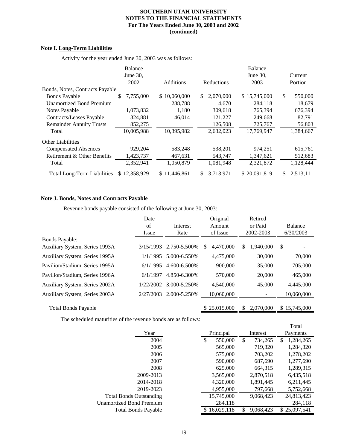#### **Note I. Long-Term Liabilities**

Activity for the year ended June 30, 2003 was as follows:

|                                    | Balance<br>June $30$ ,<br>2002 | Additions    | Reductions       | <b>Balance</b><br>June 30,<br>2003 | Current<br>Portion |
|------------------------------------|--------------------------------|--------------|------------------|------------------------------------|--------------------|
| Bonds, Notes, Contracts Payable    |                                |              |                  |                                    |                    |
| <b>Bonds Payable</b>               | \$<br>7,755,000                | \$10,060,000 | 2,070,000<br>\$. | \$15,745,000                       | \$<br>550,000      |
| <b>Unamortized Bond Premium</b>    |                                | 288,788      | 4,670            | 284,118                            | 18,679             |
| Notes Payable                      | 1,073,832                      | 1,180        | 309,618          | 765,394                            | 676,394            |
| Contracts/Leases Payable           | 324,881                        | 46,014       | 121,227          | 249,668                            | 82,791             |
| <b>Remainder Annuity Trusts</b>    | 852,275                        |              | 126,508          | 725,767                            | 56,803             |
| Total                              | 10,005,988                     | 10.395.982   | 2,632,023        | 17.769.947                         | 1.384.667          |
| <b>Other Liabilities</b>           |                                |              |                  |                                    |                    |
| <b>Compensated Absences</b>        | 929,204                        | 583,248      | 538,201          | 974,251                            | 615,761            |
| Retirement & Other Benefits        | 1,423,737                      | 467,631      | 543,747          | 1,347,621                          | 512,683            |
| Total                              | 2,352,941                      | 1,050,879    | 1,081,948        | 2,321,872                          | 1,128,444          |
| <b>Total Long-Term Liabilities</b> | 12,358,929<br>S.               | \$11,446,861 | 3,713,971<br>S.  | \$20,091,819                       | 2,513,111<br>S.    |

#### **Note J. Bonds, Notes and Contracts Payable**

Revenue bonds payable consisted of the following at June 30, 2003:

|                                | Date      |               | Original       | Retired         |              |
|--------------------------------|-----------|---------------|----------------|-----------------|--------------|
|                                | of        | Interest      | Amount         | or Paid         | Balance      |
|                                | Issue     | Rate          | of Issue       | 2002-2003       | 6/30/2003    |
| <b>Bonds Payable:</b>          |           |               |                |                 |              |
| Auxiliary System, Series 1993A | 3/15/1993 | 2.750-5.500%  | 4.470.000<br>S | 1.940.000<br>S  | \$           |
| Auxiliary System, Series 1995A | 1/1/1995  | 5.000-6.550%  | 4,475,000      | 30,000          | 70,000       |
| Pavilion/Stadium, Series 1995A | 6/1/1995  | 4.600-6.500\% | 900,000        | 35,000          | 705,000      |
| Pavilion/Stadium, Series 1996A | 6/1/1997  | 4.850-6.300%  | 570,000        | 20,000          | 465,000      |
| Auxiliary System, Series 2002A | 1/22/2002 | 3.000-5.250%  | 4,540,000      | 45,000          | 4,445,000    |
| Auxiliary System, Series 2003A | 2/27/2003 | 2.000-5.250\% | 10,060,000     |                 | 10,060,000   |
| <b>Total Bonds Payable</b>     |           |               | \$25,015,000   | 2,070,000<br>\$ | \$15,745,000 |

The scheduled maturities of the revenue bonds are as follows:

|                                 |                  |               | Total           |
|---------------------------------|------------------|---------------|-----------------|
| Year                            | Principal        | Interest      | Payments        |
| 2004                            | 550,000<br>\$    | \$<br>734,265 | 1,284,265<br>\$ |
| 2005                            | 565,000          | 719,320       | 1,284,320       |
| 2006                            | 575,000          | 703,202       | 1,278,202       |
| 2007                            | 590,000          | 687,690       | 1,277,690       |
| 2008                            | 625,000          | 664,315       | 1,289,315       |
| 2009-2013                       | 3,565,000        | 2,870,518     | 6,435,518       |
| 2014-2018                       | 4,320,000        | 1,891,445     | 6,211,445       |
| 2019-2023                       | 4,955,000        | 797,668       | 5,752,668       |
| <b>Total Bonds Outstanding</b>  | 15,745,000       | 9,068,423     | 24,813,423      |
| <b>Unamortized Bond Premium</b> | 284,118          |               | 284,118         |
| <b>Total Bonds Payable</b>      | 16.029.118<br>\$ | 9,068,423     | \$25,097,541    |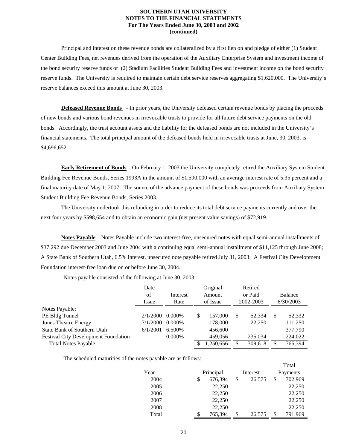Principal and interest on these revenue bonds are collateralized by a first lien on and pledge of either (1) Student Center Building Fees, net revenues derived from the operation of the Auxiliary Enterprise System and investment income of the bond security reserve funds or (2) Stadium Facilities Student Building Fees and investment income on the bond security reserve funds. The University is required to maintain certain debt service reserves aggregating \$1,620,000. The University's reserve balances exceed this amount at June 30, 2003.

 **Defeased Revenue Bonds** - In prior years, the University defeased certain revenue bonds by placing the proceeds of new bonds and various bond revenues in irrevocable trusts to provide for all future debt service payments on the old bonds. Accordingly, the trust account assets and the liability for the defeased bonds are not included in the University's financial statements. The total principal amount of the defeased bonds held in irrevocable trusts at June, 30, 2003, is \$4,696,652.

 **Early Retirement of Bonds** – On February 1, 2003 the University completely retired the Auxiliary System Student Building Fee Revenue Bonds, Series 1993A in the amount of \$1,590,000 with an average interest rate of 5.35 percent and a final maturity date of May 1, 2007. The source of the advance payment of these bonds was proceeds from Auxiliary System Student Building Fee Revenue Bonds, Series 2003.

 The University undertook this refunding in order to reduce its total debt service payments currently and over the next four years by \$598,654 and to obtain an economic gain (net present value savings) of \$72,919.

 **Notes Payable** – Notes Payable include two interest-free, unsecured notes with equal semi-annual installments of \$37,292 due December 2003 and June 2004 with a continuing equal semi-annual installment of \$11,125 through June 2008; A State Bank of Southern Utah, 6.5% interest, unsecured note payable retired July 31, 2003; A Festival City Development Foundation interest-free loan due on or before June 30, 2004.

Notes payable consisted of the following at June 30, 2003:

|                                             | Date     |           |     | Original  |     | Retired   |              |
|---------------------------------------------|----------|-----------|-----|-----------|-----|-----------|--------------|
|                                             | of       | Interest  |     | Amount    |     | or Paid   | Balance      |
|                                             | Issue    | Rate      |     | of Issue  |     | 2002-2003 | 6/30/2003    |
| Notes Payable:                              |          |           |     |           |     |           |              |
| PE Bldg Tunnel                              | 2/1/2000 | $0.000\%$ | \$. | 157,000   | \$. | 52.334    | \$<br>52,332 |
| <b>Jones Theatre Energy</b>                 | 7/1/2000 | $0.000\%$ |     | 178,000   |     | 22,250    | 111,250      |
| State Bank of Southern Utah                 | 6/1/2001 | 6.500\%   |     | 456,600   |     |           | 377,790      |
| <b>Festival City Development Foundation</b> |          | 0.000%    |     | 459,056   |     | 235,034   | 224,022      |
| <b>Total Notes Payable</b>                  |          |           |     | 1,250,656 |     | 309,618   | 765,394      |

The scheduled maturities of the notes payable are as follows:

|       |    |           |              |    | .        |
|-------|----|-----------|--------------|----|----------|
| Year  |    | Principal | Interest     |    | Payments |
| 2004  | \$ | 676,394   | \$<br>26,575 | S  | 702,969  |
| 2005  |    | 22,250    |              |    | 22,250   |
| 2006  |    | 22,250    |              |    | 22,250   |
| 2007  |    | 22,250    |              |    | 22,250   |
| 2008  |    | 22,250    |              |    | 22,250   |
| Total | \$ | 765,394   | 26,575       | \$ | 791,969  |

Total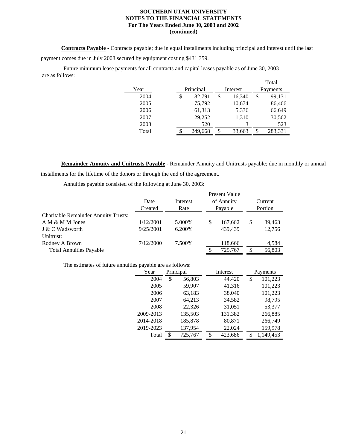**Contracts Payable** - Contracts payable; due in equal installments including principal and interest until the last payment comes due in July 2008 secured by equipment costing \$431,359.

 Future minimum lease payments for all contracts and capital leases payable as of June 30, 2003 are as follows: Total

|       |              |    | 1 otal   |    |          |  |  |
|-------|--------------|----|----------|----|----------|--|--|
| Year  | Principal    |    | Interest |    | Payments |  |  |
| 2004  | \$<br>82,791 | \$ | 16,340   | \$ | 99,131   |  |  |
| 2005  | 75,792       |    | 10,674   |    | 86,466   |  |  |
| 2006  | 61,313       |    | 5,336    |    | 66,649   |  |  |
| 2007  | 29,252       |    | 1,310    |    | 30,562   |  |  |
| 2008  | 520          |    | 3        |    | 523      |  |  |
| Total | 249,668      | S  | 33,663   | \$ | 283,331  |  |  |

 **Remainder Annuity and Unitrusts Payable** - Remainder Annuity and Unitrusts payable; due in monthly or annual installments for the lifetime of the donors or through the end of the agreement.

Annuities payable consisted of the following at June 30, 2003:

|                                             |           |          | Present Value |            |    |         |  |  |
|---------------------------------------------|-----------|----------|---------------|------------|----|---------|--|--|
|                                             | Date      | Interest |               | of Annuity |    | Current |  |  |
|                                             | Created   | Rate     |               | Payable    |    | Portion |  |  |
| <b>Charitable Remainder Annuity Trusts:</b> |           |          |               |            |    |         |  |  |
| A M & M M Jones                             | 1/12/2001 | 5.000\%  | S             | 167,662    | S  | 39,463  |  |  |
| J & C Wadsworth                             | 9/25/2001 | 6.200%   |               | 439.439    |    | 12,756  |  |  |
| Unitrust:                                   |           |          |               |            |    |         |  |  |
| Rodney A Brown                              | 7/12/2000 | 7.500\%  |               | 118,666    |    | 4,584   |  |  |
| <b>Total Annuities Payable</b>              |           |          |               | 725,767    | S. | 56,803  |  |  |

The estimates of future annuities payable are as follows:

| Year      | Principal |         | Interest |         | Payments |           |
|-----------|-----------|---------|----------|---------|----------|-----------|
| 2004      | \$        | 56,803  |          | 44,420  | \$       | 101,223   |
| 2005      |           | 59,907  |          | 41,316  |          | 101,223   |
| 2006      |           | 63,183  |          | 38,040  |          | 101,223   |
| 2007      |           | 64,213  |          | 34,582  |          | 98,795    |
| 2008      |           | 22,326  |          | 31,051  |          | 53,377    |
| 2009-2013 |           | 135,503 |          | 131,382 |          | 266,885   |
| 2014-2018 |           | 185,878 |          | 80,871  |          | 266,749   |
| 2019-2023 |           | 137,954 |          | 22,024  |          | 159,978   |
| Total     | \$        | 725,767 | \$       | 423,686 | S        | 1,149,453 |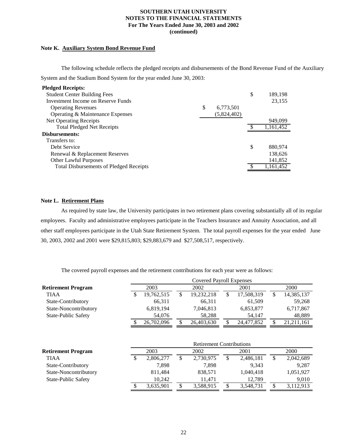#### **Note K. Auxiliary System Bond Revenue Fund**

 The following schedule reflects the pledged receipts and disbursements of the Bond Revenue Fund of the Auxiliary System and the Stadium Bond System for the year ended June 30, 2003:

| <b>Pledged Receipts:</b>                       |                 |               |
|------------------------------------------------|-----------------|---------------|
| <b>Student Center Building Fees</b>            |                 | \$<br>189,198 |
| Investment Income on Reserve Funds             |                 | 23,155        |
| <b>Operating Revenues</b>                      | \$<br>6,773,501 |               |
| Operating & Maintenance Expenses               | (5,824,402)     |               |
| Net Operating Receipts                         |                 | 949,099       |
| <b>Total Pledged Net Receipts</b>              |                 | 1,161,452     |
| Disbursements:                                 |                 |               |
| Transfers to:                                  |                 |               |
| Debt Service                                   |                 | \$<br>880,974 |
| Renewal & Replacement Reserves                 |                 | 138,626       |
| <b>Other Lawful Purposes</b>                   |                 | 141,852       |
| <b>Total Disbursements of Pledged Receipts</b> |                 | 1,161,452     |

#### **Note L. Retirement Plans**

 As required by state law, the University participates in two retirement plans covering substantially all of its regular employees. Faculty and administrative employees participate in the Teachers Insurance and Annuity Association, and all other staff employees participate in the Utah State Retirement System. The total payroll expenses for the year ended June 30, 2003, 2002 and 2001 were \$29,815,803; \$29,883,679 and \$27,508,517, respectively.

The covered payroll expenses and the retirement contributions for each year were as follows:

|                            | <b>Covered Payroll Expenses</b> |            |    |            |  |            |   |              |
|----------------------------|---------------------------------|------------|----|------------|--|------------|---|--------------|
| <b>Retirement Program</b>  |                                 | 2003       |    | 2002       |  | 2001       |   | 2000         |
| <b>TIAA</b>                |                                 | 19,762,515 | \$ | 19,232,218 |  | 17,508,319 | S | 14,385,137   |
| State-Contributory         |                                 | 66.311     |    | 66.311     |  | 61.509     |   | 59.268       |
| State-Noncontributory      |                                 | 6,819,194  |    | 7,046,813  |  | 6,853,877  |   | 6,717,867    |
| <b>State-Public Safety</b> |                                 | 54,076     |    | 58,288     |  | 54.147     |   | 48,889       |
|                            |                                 | 26,702,096 | \$ | 26,403,630 |  | 24,477,852 |   | 21, 211, 161 |

|                            | <b>Retirement Contributions</b> |           |      |           |      |           |      |           |
|----------------------------|---------------------------------|-----------|------|-----------|------|-----------|------|-----------|
| <b>Retirement Program</b>  | 2003                            |           | 2002 |           | 2001 |           | 2000 |           |
| <b>TIAA</b>                |                                 | 2,806,277 | \$   | 2,730,975 |      | 2,486,181 | \$   | 2,042,689 |
| State-Contributory         |                                 | 7.898     |      | 7.898     |      | 9.343     |      | 9.287     |
| State-Noncontributory      |                                 | 811,484   |      | 838.571   |      | 1,040,418 |      | 1,051,927 |
| <b>State-Public Safety</b> |                                 | 10.242    |      | 11.471    |      | 12.789    |      | 9,010     |
|                            |                                 | 3,635,901 | \$   | 3,588,915 |      | 3,548,731 | \$   | 3,112,913 |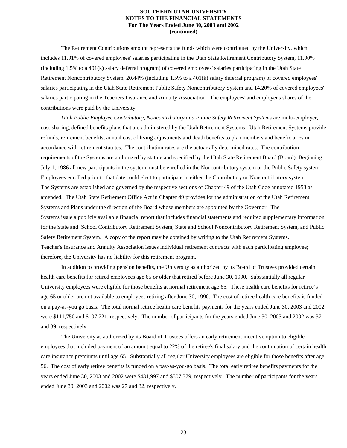The Retirement Contributions amount represents the funds which were contributed by the University, which includes 11.91% of covered employees' salaries participating in the Utah State Retirement Contributory System, 11.90% (including 1.5% to a 401(k) salary deferral program) of covered employees' salaries participating in the Utah State Retirement Noncontributory System, 20.44% (including 1.5% to a 401(k) salary deferral program) of covered employees' salaries participating in the Utah State Retirement Public Safety Noncontributory System and 14.20% of covered employees' salaries participating in the Teachers Insurance and Annuity Association. The employees' and employer's shares of the contributions were paid by the University.

 *Utah Public Employee Contributory, Noncontributory and Public Safety Retirement Systems* are multi-employer, cost-sharing, defined benefits plans that are administered by the Utah Retirement Systems. Utah Retirement Systems provide refunds, retirement benefits, annual cost of living adjustments and death benefits to plan members and beneficiaries in accordance with retirement statutes. The contribution rates are the actuarially determined rates. The contribution requirements of the Systems are authorized by statute and specified by the Utah State Retirement Board (Board). Beginning July 1, 1986 all new participants in the system must be enrolled in the Noncontributory system or the Public Safety system. Employees enrolled prior to that date could elect to participate in either the Contributory or Noncontributory system. The Systems are established and governed by the respective sections of Chapter 49 of the Utah Code annotated 1953 as amended. The Utah State Retirement Office Act in Chapter 49 provides for the administration of the Utah Retirement Systems and Plans under the direction of the Board whose members are appointed by the Governor. The Systems issue a publicly available financial report that includes financial statements and required supplementary information for the State and School Contributory Retirement System, State and School Noncontributory Retirement System, and Public Safety Retirement System. A copy of the report may be obtained by writing to the Utah Retirement Systems. Teacher's Insurance and Annuity Association issues individual retirement contracts with each participating employee; therefore, the University has no liability for this retirement program.

 In addition to providing pension benefits, the University as authorized by its Board of Trustees provided certain health care benefits for retired employees age 65 or older that retired before June 30, 1990. Substantially all regular University employees were eligible for those benefits at normal retirement age 65. These health care benefits for retiree's age 65 or older are not available to employees retiring after June 30, 1990. The cost of retiree health care benefits is funded on a pay-as-you go basis. The total normal retiree health care benefits payments for the years ended June 30, 2003 and 2002, were \$111,750 and \$107,721, respectively. The number of participants for the years ended June 30, 2003 and 2002 was 37 and 39, respectively.

 The University as authorized by its Board of Trustees offers an early retirement incentive option to eligible employees that included payment of an amount equal to 22% of the retiree's final salary and the continuation of certain health care insurance premiums until age 65. Substantially all regular University employees are eligible for those benefits after age 56. The cost of early retiree benefits is funded on a pay-as-you-go basis. The total early retiree benefits payments for the years ended June 30, 2003 and 2002 were \$431,997 and \$507,379, respectively. The number of participants for the years ended June 30, 2003 and 2002 was 27 and 32, respectively.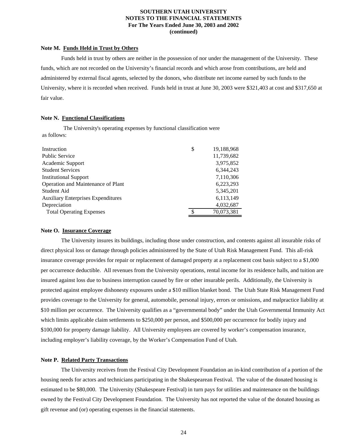#### **Note M. Funds Held in Trust by Others**

 Funds held in trust by others are neither in the possession of nor under the management of the University. These funds, which are not recorded on the University's financial records and which arose from contributions, are held and administered by external fiscal agents, selected by the donors, who distribute net income earned by such funds to the University, where it is recorded when received. Funds held in trust at June 30, 2003 were \$321,403 at cost and \$317,650 at fair value.

#### **Note N. Functional Classifications**

 The University's operating expenses by functional classification were as follows:

| Instruction                               | \$<br>19,188,968 |
|-------------------------------------------|------------------|
| <b>Public Service</b>                     | 11,739,682       |
| Academic Support                          | 3,975,852        |
| <b>Student Services</b>                   | 6.344.243        |
| <b>Institutional Support</b>              | 7,110,306        |
| Operation and Maintenance of Plant        | 6,223,293        |
| Student Aid                               | 5,345,201        |
| <b>Auxiliary Enterprises Expenditures</b> | 6,113,149        |
| Depreciation                              | 4,032,687        |
| <b>Total Operating Expenses</b>           | 70,073,381       |
|                                           |                  |

#### **Note O. Insurance Coverage**

 The University insures its buildings, including those under construction, and contents against all insurable risks of direct physical loss or damage through policies administered by the State of Utah Risk Management Fund. This all-risk insurance coverage provides for repair or replacement of damaged property at a replacement cost basis subject to a \$1,000 per occurrence deductible. All revenues from the University operations, rental income for its residence halls, and tuition are insured against loss due to business interruption caused by fire or other insurable perils. Additionally, the University is protected against employee dishonesty exposures under a \$10 million blanket bond. The Utah State Risk Management Fund provides coverage to the University for general, automobile, personal injury, errors or omissions, and malpractice liability at \$10 million per occurrence. The University qualifies as a "governmental body" under the Utah Governmental Immunity Act which limits applicable claim settlements to \$250,000 per person, and \$500,000 per occurrence for bodily injury and \$100,000 for property damage liability. All University employees are covered by worker's compensation insurance, including employer's liability coverage, by the Worker's Compensation Fund of Utah.

#### **Note P. Related Party Transactions**

 The University receives from the Festival City Development Foundation an in-kind contribution of a portion of the housing needs for actors and technicians participating in the Shakespearean Festival. The value of the donated housing is estimated to be \$80,000. The University (Shakespeare Festival) in turn pays for utilities and maintenance on the buildings owned by the Festival City Development Foundation. The University has not reported the value of the donated housing as gift revenue and (or) operating expenses in the financial statements.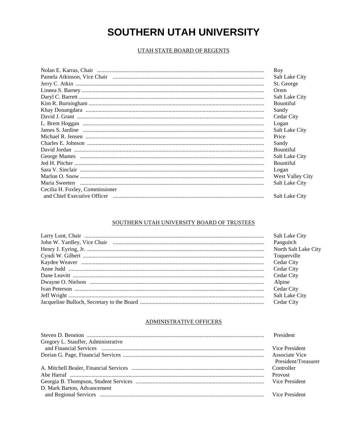### UTAH STATE BOARD OF REGENTS

| Roy                     |
|-------------------------|
| <b>Salt Lake City</b>   |
| St. George              |
| Orem                    |
| Salt Lake City          |
| <b>Bountiful</b>        |
| Sandy                   |
| Cedar City              |
| Logan                   |
| Salt Lake City          |
| Price                   |
| Sandy                   |
| <b>Bountiful</b>        |
| <b>Salt Lake City</b>   |
| <b>Bountiful</b>        |
| Logan                   |
| <b>West Valley City</b> |
| <b>Salt Lake City</b>   |
|                         |
| <b>Salt Lake City</b>   |
|                         |

#### SOUTHERN UTAH UNIVERSITY BOARD OF TRUSTEES

| <b>Salt Lake City</b> |
|-----------------------|
| Panguitch             |
| North Salt Lake City  |
| Toquerville           |
| Cedar City            |
| Cedar City            |
| Cedar City            |
| Alpine                |
| Cedar City            |
| Salt Lake City        |
| Cedar City            |

#### ADMINISTRATIVE OFFICERS

|                                     | President             |
|-------------------------------------|-----------------------|
| Gregory L. Stauffer, Administrative |                       |
|                                     | Vice President        |
|                                     | <b>Associate Vice</b> |
|                                     | President/Treasurer   |
|                                     | Controller            |
|                                     | Provost               |
|                                     | Vice President        |
| D. Mark Barton, Advancement         |                       |
|                                     |                       |